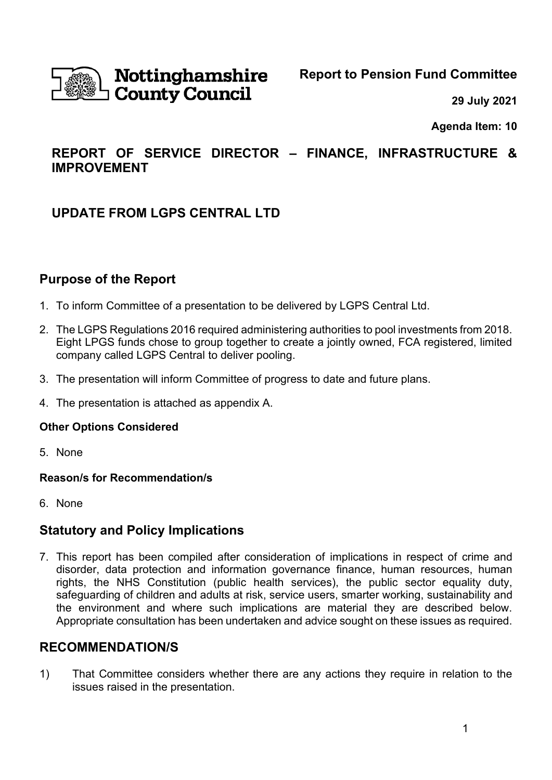

# Nottinghamshire **County Council**

**Report to Pension Fund Committee**

**29 July 2021**

**Agenda Item: 10**

# **REPORT OF SERVICE DIRECTOR – FINANCE, INFRASTRUCTURE & IMPROVEMENT**

# **UPDATE FROM LGPS CENTRAL LTD**

## **Purpose of the Report**

- 1. To inform Committee of a presentation to be delivered by LGPS Central Ltd.
- 2. The LGPS Regulations 2016 required administering authorities to pool investments from 2018. Eight LPGS funds chose to group together to create a jointly owned, FCA registered, limited company called LGPS Central to deliver pooling.
- 3. The presentation will inform Committee of progress to date and future plans.
- 4. The presentation is attached as appendix A.

#### **Other Options Considered**

5. None

#### **Reason/s for Recommendation/s**

6. None

## **Statutory and Policy Implications**

7. This report has been compiled after consideration of implications in respect of crime and disorder, data protection and information governance finance, human resources, human rights, the NHS Constitution (public health services), the public sector equality duty, safeguarding of children and adults at risk, service users, smarter working, sustainability and the environment and where such implications are material they are described below. Appropriate consultation has been undertaken and advice sought on these issues as required.

## **RECOMMENDATION/S**

1) That Committee considers whether there are any actions they require in relation to the issues raised in the presentation.